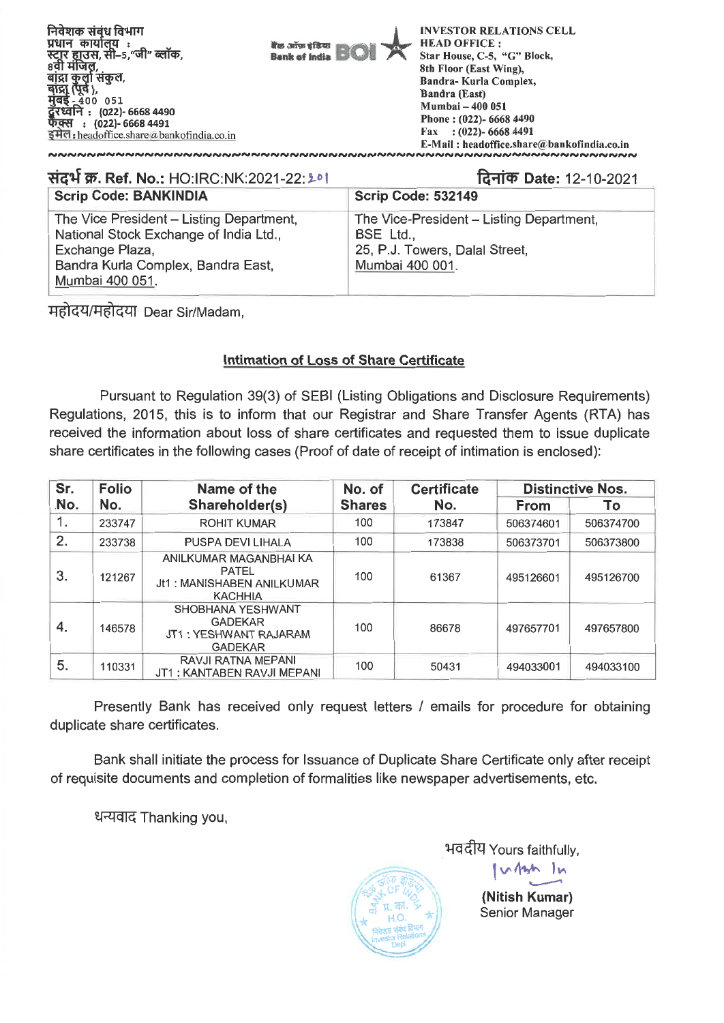

**Rt&if W. Ref. No.:** HO:IRC:NK:2021-22: 2-0I Scrip **Code: BANKINDIA 14-Ilch Date:** 12-10-2021 Scrip Code: 532149 The Vice President - Listing Department, National Stock Exchange of India Ltd., Exchange Plaza, Bandra Kurla Complex, Bandra East, Mumbai 400 051. The Vice-President - Listing Department, BSE Ltd., 25, P.J. Towers, Dalal Street, Mumbai 400 001.

महोदय/महोदया Dear Sir/Madam,

# **Intimation of Loss of Share Certificate**

Pursuant to Regulation 39(3) of SEBI (Listing Obligations and Disclosure Requirements) Regulations, 2015, this is to inform that our Registrar and Share Transfer Agents (RTA) has received the information about loss of share certificates and requested them to issue duplicate share certificates in the following cases (Proof of date of receipt of intimation is enclosed):

| Sr. | <b>Folio</b>          | Name of the                                                                    | No. of        | <b>Certificate</b> | <b>Distinctive Nos.</b> |           |  |
|-----|-----------------------|--------------------------------------------------------------------------------|---------------|--------------------|-------------------------|-----------|--|
| No. | No.<br>Shareholder(s) |                                                                                | <b>Shares</b> | No.                | <b>From</b>             | Т٥        |  |
| 1.  | 233747                | <b>ROHIT KUMAR</b>                                                             | 100           | 173847             | 506374601               | 506374700 |  |
| 2.  | 233738                | PUSPA DEVI LIHALA                                                              | 100           | 173838             | 506373701               | 506373800 |  |
| 3.  | 121267                | ANILKUMAR MAGANBHAI KA<br>PATEL<br>Jt1: MANISHABEN ANILKUMAR<br><b>KACHHIA</b> | 100           | 61367              | 495126601               | 495126700 |  |
| 4.  | 146578                | SHOBHANA YESHWANT<br><b>GADEKAR</b><br>JT1: YESHWANT RAJARAM<br><b>GADEKAR</b> | 100           | 86678              | 497657701               | 497657800 |  |
| 5.  | 110331                | RAVJI RATNA MEPANI<br>JT1 : KANTABEN RAVJI MEPANI                              | 100           | 50431              | 494033001               | 494033100 |  |

Presently Bank has received only request letters / emails for procedure for obtaining duplicate share certificates.

Bank shall initiate the process for Issuance of Duplicate Share Certificate only after receipt of requisite documents and completion of formalities like newspaper advertisements, etc.

धन्यवाद Thanking you,

"\ A)?  $\tilde{z}$  $*$   $\frac{1}{2}$  **x**  $\frac{1}{2}$  **x**  $\frac{1}{2}$  **x**  $\frac{1}{2}$  **x**  $\frac{1}{2}$ Investor Retailure

भवदीय Yours faithfully, I<br>|<br>| vq14/" 11.^ **(Nitish Kumar)**  Senior Manager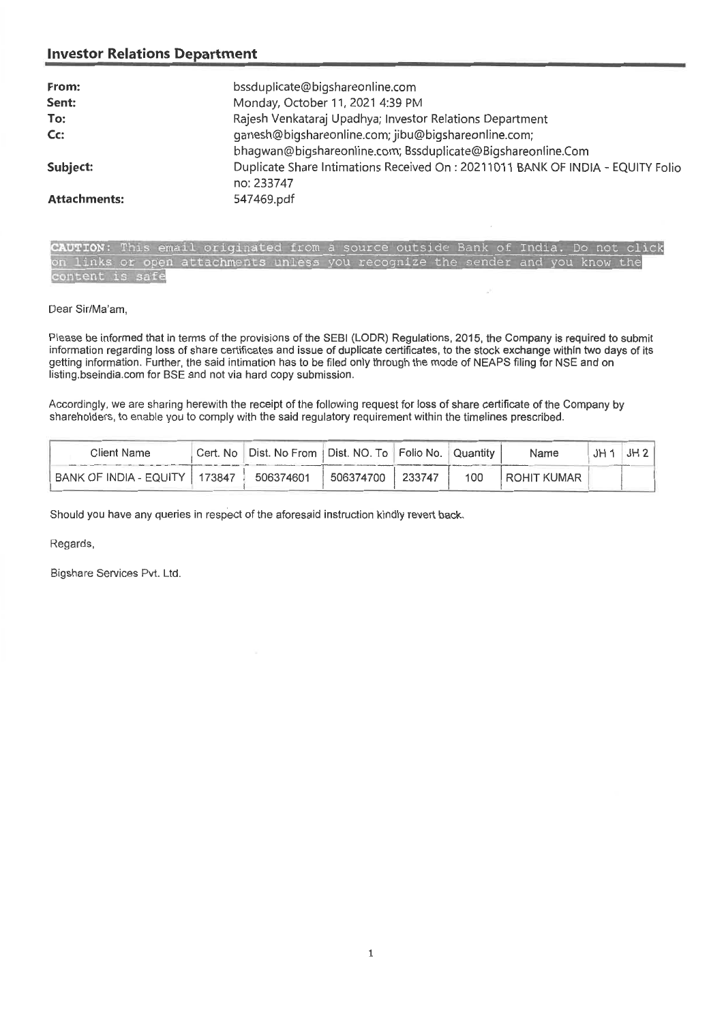| From:               | bssduplicate@bigshareonline.com                                                 |
|---------------------|---------------------------------------------------------------------------------|
| Sent:               | Monday, October 11, 2021 4:39 PM                                                |
| To:                 | Rajesh Venkataraj Upadhya; Investor Relations Department                        |
| Cc:                 | ganesh@bigshareonline.com; jibu@bigshareonline.com;                             |
|                     | bhagwan@bigshareonline.com; Bssduplicate@Bigshareonline.Com                     |
| Subject:            | Duplicate Share Intimations Received On : 20211011 BANK OF INDIA - EQUITY Folio |
|                     | no: 233747                                                                      |
| <b>Attachments:</b> | 547469.pdf                                                                      |

**UTION:** This email originated from a source outside Bank of India. Do not click on links or open attachments unless you recognize the sender and you know the content is safe

Dear Sir/Ma'am,

Please be informed that in terms of the provisions of the SEBI (LODR) Regulations, 2015, the Company is required to submit information regarding loss of share certificates and issue of duplicate certificates, to the stock exchange within two days of its getting information. Further, the said intimation has to be filed only through the mode of NEAPS filing for NSE and on listing.bseindia.com for BSE and not via hard copy submission.

Accordingly, we are sharing herewith the receipt of the following request for loss of share certificate of the Company by shareholders, to enable you to comply with the said regulatory requirement within the timelines prescribed.

| Client Name                     |           |           | Cert. No   Dist. No From   Dist. NO. To   Folio No.   Quantity |     | Name        | $JH1$ JH 2 |
|---------------------------------|-----------|-----------|----------------------------------------------------------------|-----|-------------|------------|
| BANK OF INDIA - EQUITY   173847 | 506374601 | 506374700 | 233747                                                         | 100 | ROHIT KUMAR |            |

Should you have any queries in respect of the aforesaid instruction kindly revert back.

Regards,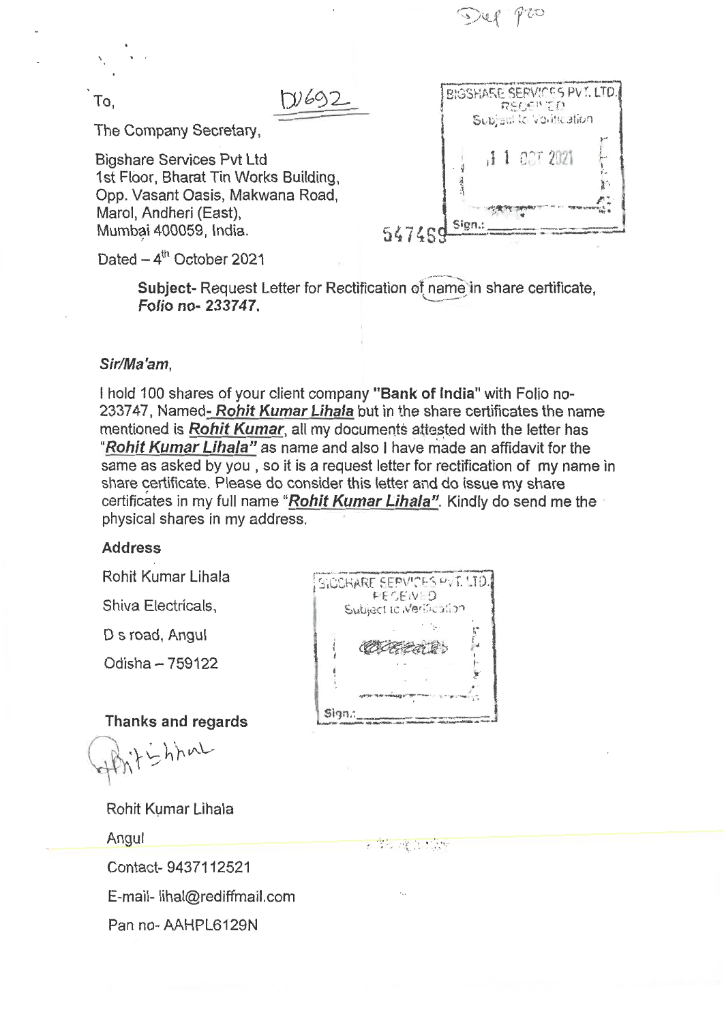$P20$ 

The Company Secretary,

Bigshare Services Pvt Ltd 1st Floor, Bharat Tin Works Building, Opp. Vasant Oasis, Makwana Road, Marol, Andheri (East), Mumbai 400059, India.

To, <u>**DVGS2** BIGSHARE SERVICES PVT. LTD.</u><br>
RECEIVED<br>
Subject to Volttcation AA' Sion.: 547469

Dated  $-4^{\text{th}}$  October 2021

Subject- Request Letter for Rectification of name in share certificate, **Folio no- 233747.** 

#### **Sir/Ma'am,**

I hold 100 shares of your client company **"Bank of India"** with Folio no-233747, Named- Rohit Kumar Lihala but in the share certificates the name mentioned is **Rohit Kumar**, all my documents attested with the letter has **"Rohit Kumar Lihala"** as name and also I have made an affidavit for the same as asked by you , so it is a request letter for rectification of my name in share certificate. Please do consider this letter and do issue my share certificates in my full name **"Rohit Kumar Lihala".** Kindly do send me the physical shares in my address.

#### **Address**

Rohit Kumar Lihala

Shiva Electricals,

D s road, Angul

Odisha — 759122

**Thanks and regards** 

ighhal

Rohit Kumar Lihala

Angul

Contact- 9437112521 E-mail- lihal@rediffmail.com Pan no- AAHPL6129N

|                         | FECEN D |  |
|-------------------------|---------|--|
| Subject to Merification |         |  |
|                         |         |  |
| COCEEA B                |         |  |
|                         |         |  |
|                         |         |  |

- 学校 2歳(10:00)39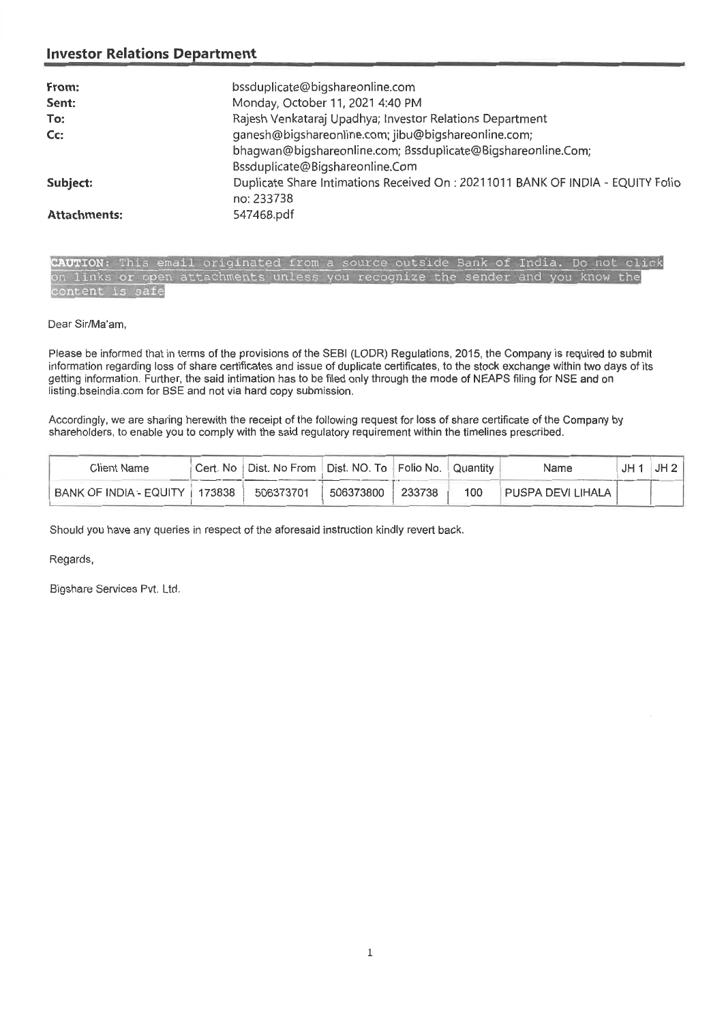| From:               | bssduplicate@bigshareonline.com                                                 |
|---------------------|---------------------------------------------------------------------------------|
| Sent:               | Monday, October 11, 2021 4:40 PM                                                |
| To:                 | Rajesh Venkataraj Upadhya; Investor Relations Department                        |
| Cc:                 | ganesh@bigshareonline.com; jibu@bigshareonline.com;                             |
|                     | bhagwan@bigshareonline.com; Bssduplicate@Bigshareonline.Com;                    |
|                     | Bssduplicate@Bigshareonline.Com                                                 |
| Subject:            | Duplicate Share Intimations Received On : 20211011 BANK OF INDIA - EQUITY Folio |
|                     | no: 233738                                                                      |
| <b>Attachments:</b> | 547468.pdf                                                                      |

**UTION;** This email originated from a source outside Bank of India. Do not click on links or open attachments unless you recognize the sender and you know the content is safe

Dear Sir/Ma'am,

Please be informed that in terms of the provisions of the SEBI (LODR) Regulations, 2015, the Company is required to submit information regarding loss of share certificates and issue of duplicate certificates, to the stock exchange within two days of its getting information. Further, the said intimation has to be filed only through the mode of NEAPS filing for NSE and on listing.bseindia.com for BSE and not via hard copy submission.

Accordingly, we are sharing herewith the receipt of the following request for loss of share certificate of the Company by shareholders, to enable you to comply with the said regulatory requirement within the timelines prescribed.

| Client Name                     | Cert. No [Dist. No From   Dist. NO. To   Folio No. |           |        | Quantity         | Name                | .IH | JH2 |
|---------------------------------|----------------------------------------------------|-----------|--------|------------------|---------------------|-----|-----|
| BANK OF INDIA - EQUITY 1 173838 | 506373701                                          | 506373800 | 233738 | 100 <sub>1</sub> | PUSPA DEVI LIHALA I |     |     |

Should you have any queries in respect of the aforesaid instruction kindly revert back.

Regards,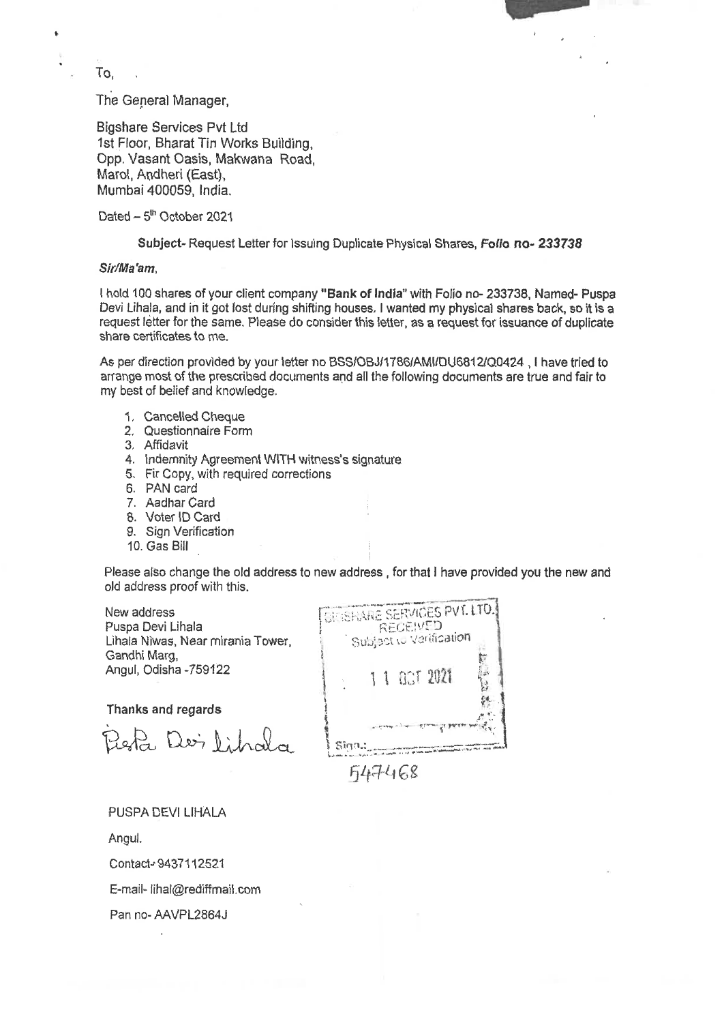To,

The General Manager,

Bigshare Services Pvt Ltd 1st Floor, Bharat Tin Works Building, Opp. Vasant Oasis, Makwana Road, Marol, Andheri (East), Mumbai 400059, India.

Dated  $-5<sup>th</sup>$  October 2021

Subject- Request Letter for Issuing Duplicate Physical Shares, **Folio no- 233738** 

#### **Sir/Ma'am,**

I hold **100** shares of your client company **"Bank of India"** with Folio no- 233738, Named- Puspa Devi Lihala, and in it got lost during shifting houses. I wanted my physical shares back, so it is a request letter for the same. Please do consider this letter, as a request for issuance of duplicate share certificates to me.

As per direction provided by your letter no BSS/OBJ/1786/AMI/DU6812/Q0424 , I have tried to arrange most of the prescribed documents and all the following documents are true and fair to my best of belief and knowledge.

- 1. Cancelled Cheque
- 2. Questionnaire Form
- 3. Affidavit
- 4. Indemnity Agreement WITH witness's signature
- 5. Fir Copy, with required corrections
- 6. PAN card
- 7. Aadhar Card
- 8. Voter ID Card
- 9. Sign Verification
- 10. Gas Bill

Please also change the old address to new address , for that I have provided you the new and old address proof with this.

New address Puspa Devi Lihala Lihala Niwas, Near mirania Tower, Gandhi Marg, Angul, Odisha -759122

**Thanks and regards** 

20pta Dei Librala

BIRSHARE SERVICES PVT. LTD. REGEIVED<br>Subject to Varification r 1 1 act 2021 f4. Sign.: Filt-g-1 eg

PUSPA DEVI LIHALA

Angul.

Contact-9437112521

E-mail- lihal@rediffmail.com

Pan no- AAVPL2864J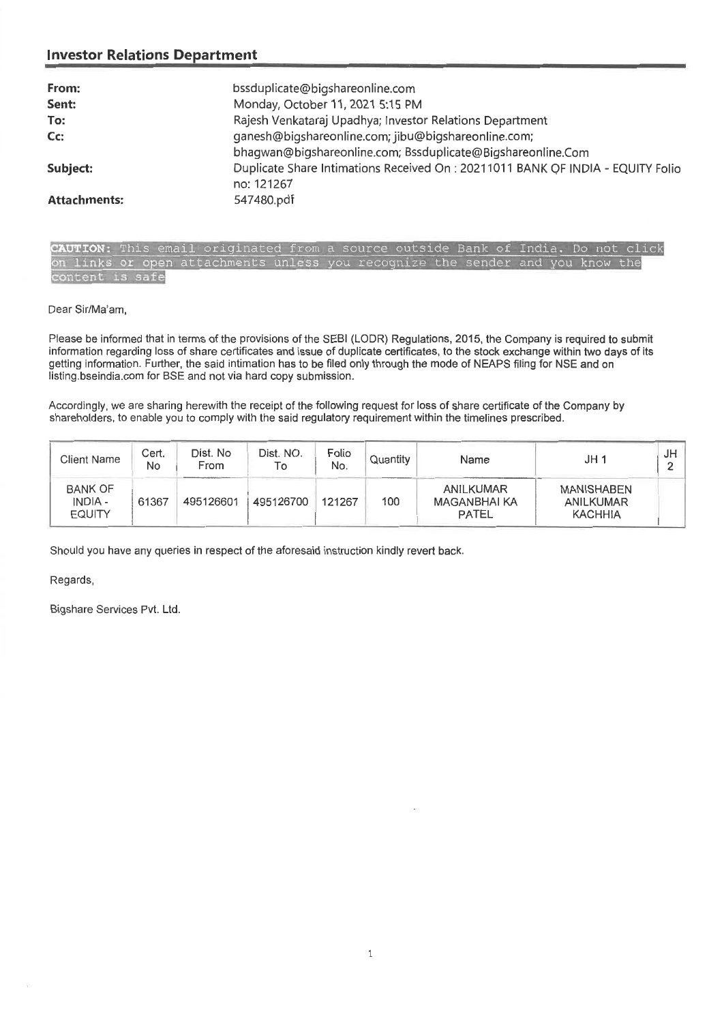| From:               | bssduplicate@bigshareonline.com                                                 |
|---------------------|---------------------------------------------------------------------------------|
| Sent:               | Monday, October 11, 2021 5:15 PM                                                |
| To:                 | Rajesh Venkataraj Upadhya; Investor Relations Department                        |
| $Cc$ :              | ganesh@bigshareonline.com; jibu@bigshareonline.com;                             |
|                     | bhagwan@bigshareonline.com; Bssduplicate@Bigshareonline.Com                     |
| Subject:            | Duplicate Share Intimations Received On : 20211011 BANK OF INDIA - EQUITY Folio |
|                     | no: 121267                                                                      |
| <b>Attachments:</b> | 547480.pdf                                                                      |

**UTION:** This email originated from a source outside Bank of India. Do not click on links or open attachments unless you recognize the sender and you know the content is safe

Dear Sir/Ma'am,

Please be informed that in terms of the provisions of **the SEBI (LODR) Regulations, 2015, the Company is required to submit**  information regarding loss of share **certificates and issue of duplicate certificates, to the stock exchange within two days of its getting information. Further, the said intimation has to be filed only through the mode of NEAPS filing for NSE and on**  listing.bseindia.com for BSE and not via hard copy submission.

Accordingly, we are sharing herewith the receipt of the following request for loss **of share certificate of the Company by**  shareholders, to enable you to comply with the said regulatory requirement within the timelines prescribed.

| <b>Client Name</b>                         | Cert.<br><b>No</b> | Dist. No<br>From | Dist. NO.<br>To | Folio<br>No. | Quantity | Name                               | JH <sub>1</sub>                           | JH |
|--------------------------------------------|--------------------|------------------|-----------------|--------------|----------|------------------------------------|-------------------------------------------|----|
| <b>BANK OF</b><br>INDIA -<br><b>EQUITY</b> | 61367              | 495126601        | 495126700       | 121267       | 100      | ANILKUMAR<br>MAGANBHAI KA<br>PATEL | MANISHABEN<br>ANILKUMAR<br><b>KACHHIA</b> |    |

Should you have any queries in respect of the aforesaid instruction kindly revert back.

Regards,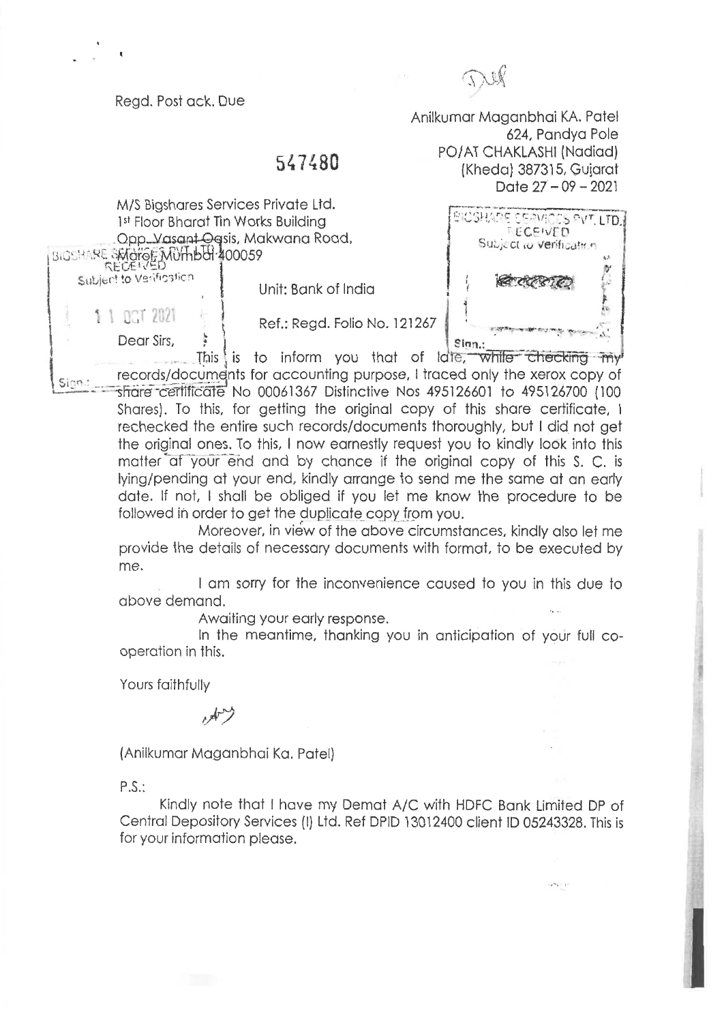Regd. Post ack. Due

Anilkumar Maganbhai KA. Patel

PO/AT CHAKLASHI (Nadiad) (Kheda) 387315, Gujarat

# 547480

M/S Bigshares Services Private Ltd. 1st Floor Bharat Tin Works Building .Opp....Vasant-Oqsis, Makwana Road, ISIGSHARE SMOTOF MUTHBOL 400059 Subject to Verification

Unit: Bank of India

Ref.: Regd. Folio No. 121267

Dear Sirs,

**4** 

 $\begin{array}{c} \text{S,} \\ \text{S,} \\ \text{S,} \end{array}$  is to inform you that of late, while checking my records/documents for accounting purpose, I traced only the xerox copy of Sinn. share certificate No 00061367 Distinctive Nos 495126601 to 495126700 (100 Shares). To this, for getting the original copy of this share certificate, I rechecked the entire such records/documents thoroughly, but I did not get

the original ones. To this, I now earnestly request you to kindly look into this matter at your end and by chance if the original copy of this S. C. is lying/pending at your end, kindly arrange to send me the same at an early date. If not, I shall be obliged if you let me know the procedure to be followed in order to get the duplicate copy from you.

Moreover, in view of the above circumstances, kindly also let me provide the details of necessary documents with format, to be executed by me.

I am sorry for the inconvenience caused to you in this due to above demand.

Awaiting your early response.

In the meantime, thanking you in anticipation of your full cooperation in this.

Yours faithfully

(Anilkumar Maganbhai Ka. Patel)

P.S.:

Kindly note that I have my Demat A/C with HDFC Bank Limited DP of Central Depository Services (I) Ltd. Ref DPID 13012400 client ID 05243328. This is for your information please.



 $\mathbf{y}^{\infty}$  .  $\mathbf{y}$  :

624, Pandya Pole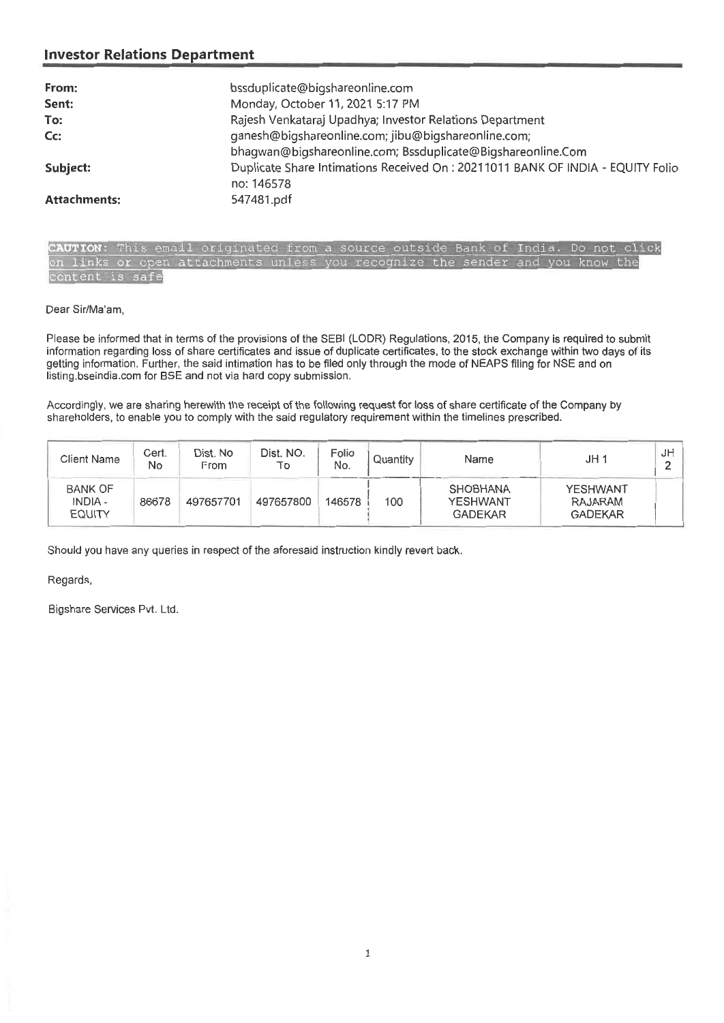| From:               | bssduplicate@bigshareonline.com                                                |
|---------------------|--------------------------------------------------------------------------------|
| Sent:               | Monday, October 11, 2021 5:17 PM                                               |
| To:                 | Rajesh Venkataraj Upadhya; Investor Relations Department                       |
| Cc:                 | ganesh@bigshareonline.com; jibu@bigshareonline.com;                            |
|                     | bhagwan@bigshareonline.com; Bssduplicate@Bigshareonline.Com                    |
| Subject:            | Duplicate Share Intimations Received On: 20211011 BANK OF INDIA - EQUITY Folio |
|                     | no: 146578                                                                     |
| <b>Attachments:</b> | 547481.pdf                                                                     |

**UTION:** This email originated from-6 source outside Bank of India. Do not click on links or open attachments unless you recognize the sender and you know the content is safe

Dear Sir/Ma'am,

Please be informed that in terms of the provisions of the SEBI (LODR) Regulations, 2015, the Company is required to submit information regarding loss of share certificates and issue of duplicate certificates, to the stock exchange within two days of its getting information. Further, the said intimation has to be filed only through the mode of NEAPS filing for NSE and on listing.bseindia.com for BSE and not via hard copy submission.

Accordingly, we are sharing herewith the receipt of the following request for loss of share certificate of the Company by shareholders, to enable you to comply with the said regulatory requirement within the timelines prescribed.

| <b>Client Name</b>                         | Cert.<br>No | Dist. No<br>From | Dist. NO.<br>To | Folio<br>No. | Quantity | Name                                                 | JH <sub>1</sub>                              | JH. |
|--------------------------------------------|-------------|------------------|-----------------|--------------|----------|------------------------------------------------------|----------------------------------------------|-----|
| <b>BANK OF</b><br>INDIA -<br><b>EQUITY</b> | 86678       | 497657701        | 497657800       | 146578       | 100      | <b>SHOBHANA</b><br><b>YESHWANT</b><br><b>GADEKAR</b> | <b>YESHWANT</b><br>RAJARAM<br><b>GADEKAR</b> |     |

Should you have any queries in respect of the aforesaid instruction kindly revert back.

#### Regards,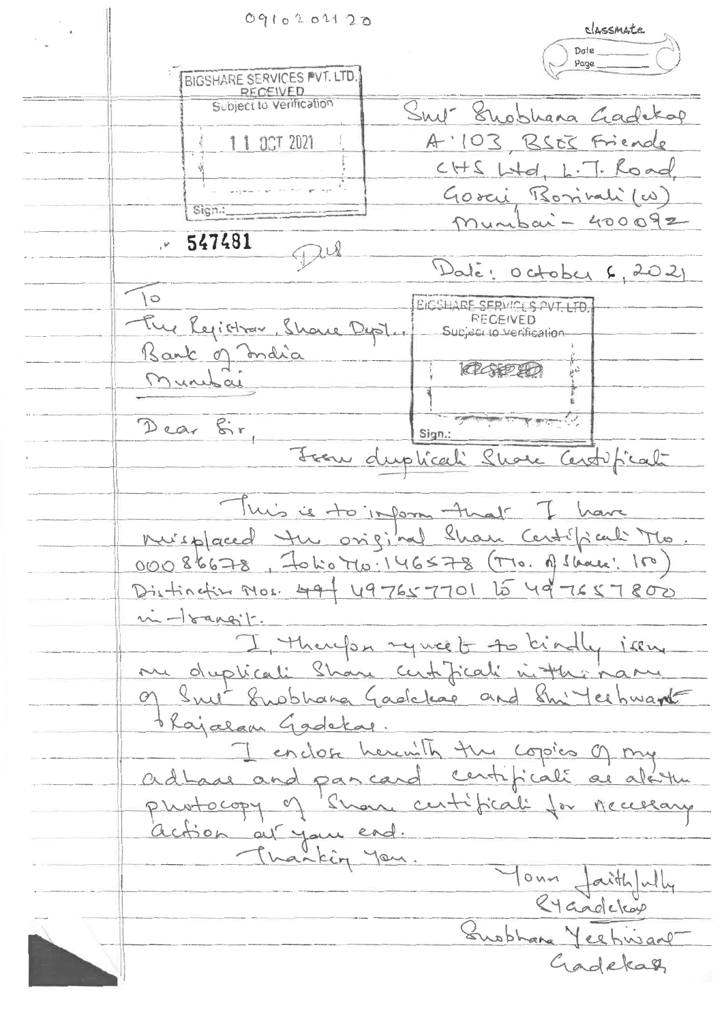0910202120 **C.146Soi4Ate. c) Date Page**  BIGSHARE SERVICES PVT. LTD.<br>RECEIVED. Subject to Verification  $S_{\text{nu}}$ <sup>+</sup> Suobhana Gadekap A '103 BSES Friende <sup>4</sup>II ET 2021  $CHS L+d, L.T.$  Road Gorci Borinali (w) Gign.  $m$ unbai - 400092 **547481**  Jul Dalé: October 6, 2021  $\circ$ BICSHARE SERVICLS PVT. LTD. The Registrar, Showe Dept. **RECEIVED** Subject to Verification Bank of India 10404M  $\frac{1}{k^2}$ Munitai Dear fir, ,-..... . Sign.: Jean duplicali Shore Centificate 1 This is to important I have<br>huisplaced the original Sham Centifical Mio. 00086678, Folio Mo: 146578 (TTO. A Slaves: 100) Distinctive Mos. 49 + 497657701 15 49 7657800  $\ldots$  - <u>Isang</u>it. I therefor ryncet to bindly issue of Snet Suppliana Gadeleas and Shi'leshwart <u>thajalam Gadekas.</u><br>I enclose herewith the copies of my ad Laas and pancard centificali as alattu photocopy of share certificali for necessary Thanking you. Your faithfully 4 Supphana Yeehivant Gadekal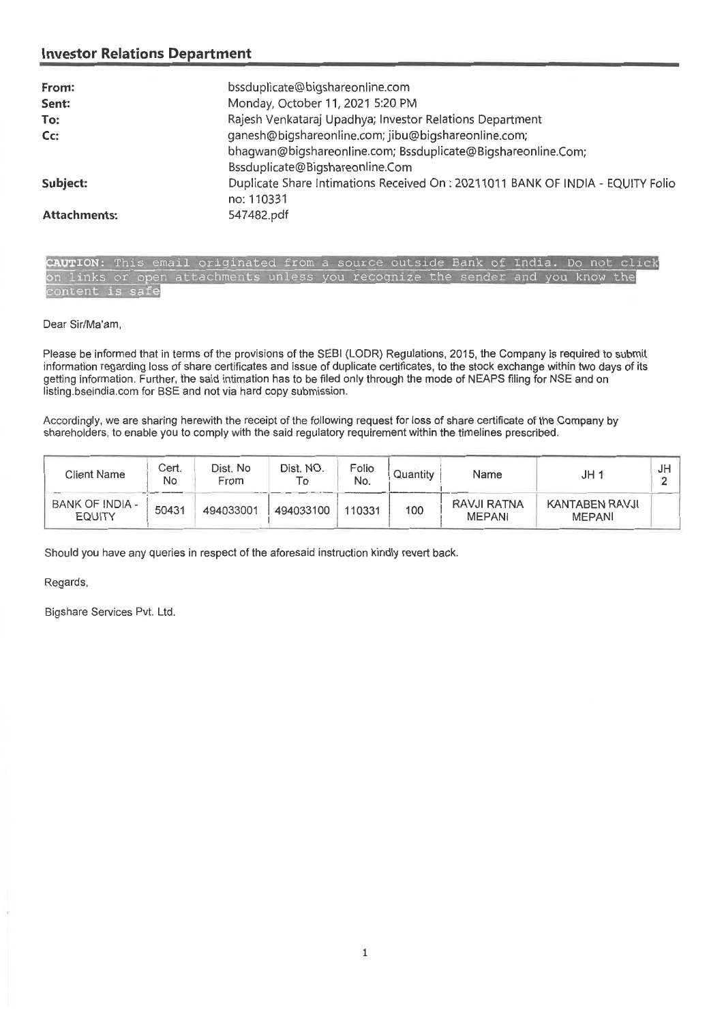| From:               | bssduplicate@bigshareonline.com                                                |
|---------------------|--------------------------------------------------------------------------------|
| Sent:               | Monday, October 11, 2021 5:20 PM                                               |
| To:                 | Rajesh Venkataraj Upadhya; Investor Relations Department                       |
| Cc:                 | ganesh@bigshareonline.com; jibu@bigshareonline.com;                            |
|                     | bhagwan@bigshareonline.com; Bssduplicate@Bigshareonline.Com;                   |
|                     | Bssduplicate@Bigshareonline.Com                                                |
| Subject:            | Duplicate Share Intimations Received On: 20211011 BANK OF INDIA - EQUITY Folio |
|                     | no: 110331                                                                     |
| <b>Attachments:</b> | 547482.pdf                                                                     |

**UTION:** This email originated from a source outside Bank of India. Do not click **n** links or open attachments unless you recognize the sender and you know the ontent is safe

Dear Sir/Ma'am,

Please be informed that in terms of the provisions of the SEBI (LODR) Regulations, 2015, the Company is required to submit information regarding loss of share certificates and issue of duplicate certificates, to the stock exchange within two days of its getting information. Further, the said intimation has to be filed only through the mode of NEAPS filing for NSE and on listing.bseindia.com for BSE and not via hard copy submission.

Accordingly, we are sharing herewith the receipt of the following request for loss of share certificate of the Company by shareholders, to enable you to comply with the said regulatory requirement within the timelines prescribed.

| Client Name                      | Cert.<br>No | Dist. No<br>From | Dist. NO.<br>То | Folio<br>No. | Quantity | Name                         | JH 1                            | JH |
|----------------------------------|-------------|------------------|-----------------|--------------|----------|------------------------------|---------------------------------|----|
| BANK OF INDIA -<br><b>EQUITY</b> | 50431       | 494033001        | 494033100       | 110331       | 100      | RAVJI RATNA<br><b>MEPANI</b> | KANTABEN RAVJI<br><b>MEPANI</b> |    |

Should you have any queries in respect of the aforesaid instruction kindly revert back.

Regards,